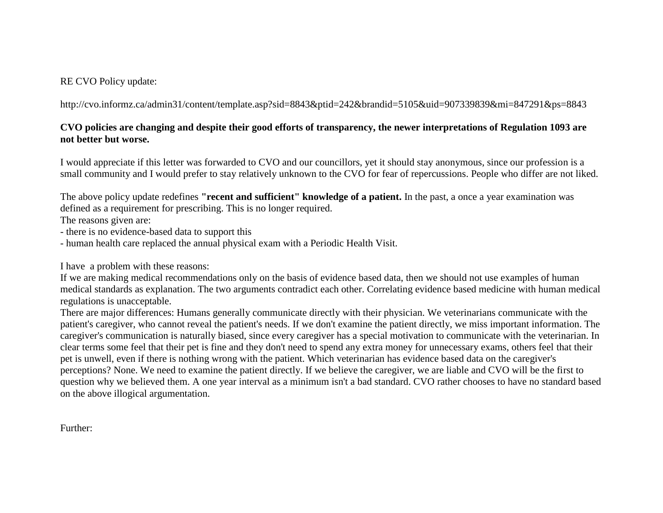## RE CVO Policy update:

http://cvo.informz.ca/admin31/content/template.asp?sid=8843&ptid=242&brandid=5105&uid=907339839&mi=847291&ps=8843

## **CVO policies are changing and despite their good efforts of transparency, the newer interpretations of Regulation 1093 are not better but worse.**

I would appreciate if this letter was forwarded to CVO and our councillors, yet it should stay anonymous, since our profession is a small community and I would prefer to stay relatively unknown to the CVO for fear of repercussions. People who differ are not liked.

The above policy update redefines **"recent and sufficient" knowledge of a patient.** In the past, a once a year examination was defined as a requirement for prescribing. This is no longer required.

The reasons given are:

- there is no evidence-based data to support this
- human health care replaced the annual physical exam with a Periodic Health Visit.

I have a problem with these reasons:

If we are making medical recommendations only on the basis of evidence based data, then we should not use examples of human medical standards as explanation. The two arguments contradict each other. Correlating evidence based medicine with human medical regulations is unacceptable.

There are major differences: Humans generally communicate directly with their physician. We veterinarians communicate with the patient's caregiver, who cannot reveal the patient's needs. If we don't examine the patient directly, we miss important information. The caregiver's communication is naturally biased, since every caregiver has a special motivation to communicate with the veterinarian. In clear terms some feel that their pet is fine and they don't need to spend any extra money for unnecessary exams, others feel that their pet is unwell, even if there is nothing wrong with the patient. Which veterinarian has evidence based data on the caregiver's perceptions? None. We need to examine the patient directly. If we believe the caregiver, we are liable and CVO will be the first to question why we believed them. A one year interval as a minimum isn't a bad standard. CVO rather chooses to have no standard based on the above illogical argumentation.

Further: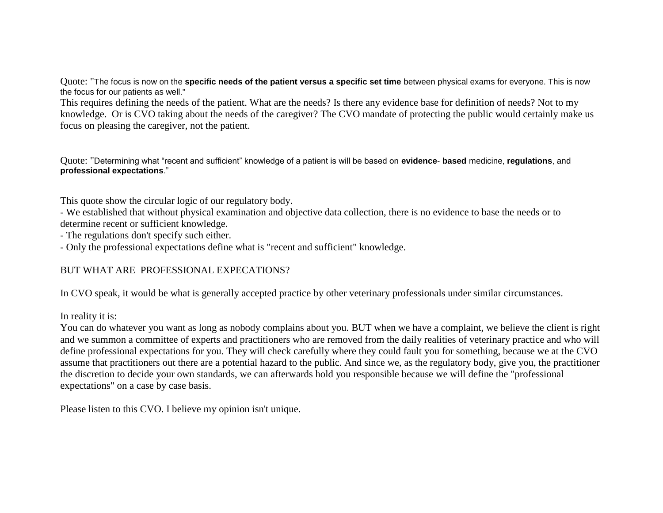Quote: "The focus is now on the **specific needs of the patient versus a specific set time** between physical exams for everyone. This is now the focus for our patients as well."

This requires defining the needs of the patient. What are the needs? Is there any evidence base for definition of needs? Not to my knowledge. Or is CVO taking about the needs of the caregiver? The CVO mandate of protecting the public would certainly make us focus on pleasing the caregiver, not the patient.

Quote: "Determining what "recent and sufficient" knowledge of a patient is will be based on **evidence**- **based** medicine, **regulations**, and **professional expectations**."

This quote show the circular logic of our regulatory body.

- We established that without physical examination and objective data collection, there is no evidence to base the needs or to determine recent or sufficient knowledge.

- The regulations don't specify such either.

- Only the professional expectations define what is "recent and sufficient" knowledge.

## BUT WHAT ARE PROFESSIONAL EXPECATIONS?

In CVO speak, it would be what is generally accepted practice by other veterinary professionals under similar circumstances.

In reality it is:

You can do whatever you want as long as nobody complains about you. BUT when we have a complaint, we believe the client is right and we summon a committee of experts and practitioners who are removed from the daily realities of veterinary practice and who will define professional expectations for you. They will check carefully where they could fault you for something, because we at the CVO assume that practitioners out there are a potential hazard to the public. And since we, as the regulatory body, give you, the practitioner the discretion to decide your own standards, we can afterwards hold you responsible because we will define the "professional expectations" on a case by case basis.

Please listen to this CVO. I believe my opinion isn't unique.